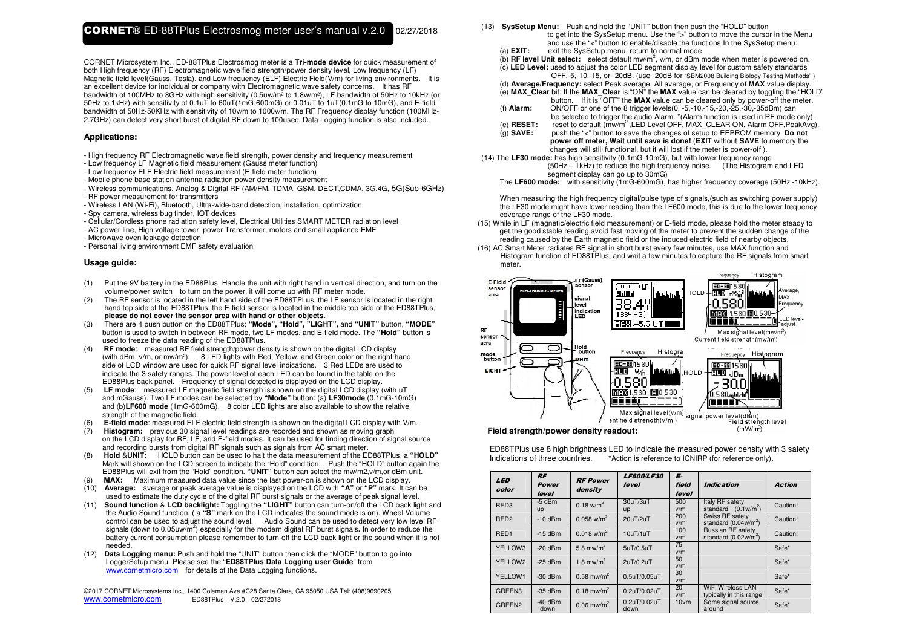CORNET Microsystem Inc., ED-88TPlus Electrosmog meter is a **Tri-mode device** for quick measurement of both High frequency (RF) Electromagnetic wave field strength/power density level, Low frequency (LF) Magnetic field level(Gauss, Tesla), and Low frequency (ELF) Electric Field(V/m) for living environments. It is an excellent device for individual or company with Electromagnetic wave safety concerns. It has RF bandwidth of 100MHz to 8GHz with high sensitivity (0.5uw/m² to 1.8w/m²), LF bandwidth of 50Hz to 10kHz (or 50Hz to 1kHz) with sensitivity of 0.1uT to 60uT(1mG-600mG) or 0.01uT to 1uT(0.1mG to 10mG), and E-field bandwidth of 50Hz-50KHz with sensitivity of 10v/m to 1000v/m. The RF Frequency display function (100MHz-2.7GHz) can detect very short burst of digital RF down to 100usec. Data Logging function is also included.

#### **Applications:**

- High frequency RF Electromagnetic wave field strength, power density and frequency measurement

- Low frequency LF Magnetic field measurement (Gauss meter function)
- Low frequency ELF Electric field measurement (E-field meter function)
- Mobile phone base station antenna radiation power density measurement
- Wireless communications, Analog & Digital RF (AM/FM, TDMA, GSM, DECT,CDMA, 3G,4G, 5G(Sub-6GHz)- RF power measurement for transmitters
- Wireless LAN (Wi-Fi), Bluetooth, Ultra-wide-band detection, installation, optimization
- Spy camera, wireless bug finder, IOT devices
- Cellular/Cordless phone radiation safety level, Electrical Utilities SMART METER radiation level
- AC power line, High voltage tower, power Transformer, motors and small appliance EMF
- Microwave oven leakage detection
- Personal living environment EMF safety evaluation

### **Usage guide:**

- (1) Put the 9V battery in the ED88Plus, Handle the unit with right hand in vertical direction, and turn on the volume/power switch to turn on the power, it will come up with RF meter mode.
- (2) The RF sensor is located in the left hand side of the ED88TPLus; the LF sensor is located in the right hand top side of the ED88TPlus, the E-field sensor is located in the middle top side of the ED88TPlus,**please do not cover the sensor area with hand or other objects**.
- (3) There are 4 push button on the ED88TPlus: **"Mode", "Hold", "LIGHT",** and **"UNIT"** button, **"MODE"** button is used to switch in between RF mode, two LF modes, and E-field mode. The **"Hold"** button is used to freeze the data reading of the ED88TPlus.
- (4) **RF mode**: measured RF field strength/power density is shown on the digital LCD display (with dBm, v/m, or mw/m²). 8 LED lights with Red, Yellow, and Green color on the right hand side of LCD window are used for quick RF signal level indications. 3 Red LEDs are used to indicate the 3 safety ranges. The power level of each LED can be found in the table on the ED88Plus back panel. Frequency of signal detected is displayed on the LCD display.<br> **IF mode:** measured LE magnetic field strepoth is shown on the digital LCD display
- (5) **LF mode**: measured LF magnetic field strength is shown on the digital LCD display (with uT and mGauss). Two LF modes can be selected by **"Mode"** button: (a) **LF30mode** (0.1mG-10mG) and (b)**LF600 mode** (1mG-600mG). 8 color LED lights are also available to show the relative strength of the magnetic field.
- (6) **E-field mode**: measured ELF electric field strength is shown on the digital LCD display with V/m.
- (7) **Histogram:** previous 30 signal level readings are recorded and shown as moving graph on the LCD display for RF, LF, and E-field modes. It can be used for finding direction of signal source and recording bursts from digital RF signals such as signals from AC smart meter.
- (8) **Hold** &**UNIT:** HOLD button can be used to halt the data measurement of the ED88TPlus, a **"HOLD"**  Mark will shown on the LCD screen to indicate the "Hold" condition. Push the "HOLD" button again the ED88Plus will exit from the "Hold" condition. **"UNIT"** button can select the mw/m2,v/m,or dBm unit.
- MAX: Maximum measured data value since the last power-on is shown on the LCD display.
- (10) **Average:** average or peak average value is displayed on the LCD with **"A"** or **"P"** mark. It can be used to estimate the duty cycle of the digital RF burst signals or the average of peak signal level.
- (11) **Sound function** & **LCD backlight:** Toggling the **"LIGHT"** button can turn-on/off the LCD back light and the Audio Sound function, ( a **"S"** mark on the LCD indicates the sound mode is on). Wheel Volume control can be used to adjust the sound level. Audio Sound can be used to detect very low level RF signals (down to 0.05uw/m<sup>2</sup>) especially for the modern digital RF burst signals. In order to reduce the battery current consumption please remember to turn-off the LCD back light or the sound when it is not needed.
- (12) **Data Logging menu:** Push and hold the "UNIT" button then click the "MODE" button to go into LoggerSetup menu. Please see the "**ED88TPlus Data Logging user Guide**" from www.cornetmicro.com for details of the Data Logging functions.

©2017 CORNET Microsystems Inc., 1400 Coleman Ave #C28 Santa Clara, CA 95050 USA Tel: (408)9690205 www.cornetmicro.com ED88TPlus V.2.0 02/272018

- (13) **SysSetup Menu:** Push and hold the "UNIT" button then push the "HOLD" button
- to get into the SysSetup menu. Use the ">" button to move the cursor in the Menu and use the "<" button to enable/disable the functions In the SysSetup menu:<br>(a) **EXIT:** exit the SysSetup menu. return to normal mode exit the SysSetup menu, return to normal mode
	-
	- (b) **RF level Unit select:** select default mw/m2, v/m, or dBm mode when meter is powered on.
	- (c) **LED Level:** used to adjust the color LED segment display level for custom safety standards OFF,-5,-10,-15, or -20dB. (use -20dB for "SBM2008 Building Biology Testing Methods" )
- (d) **Average/Frequency:** select Peak average, All average, or Frequency of **MAX** value display.
- (e) **MAX\_Clear** bit: If the **MAX\_Clear** is "ON" the **MAX** value can be cleared by toggling the "HOLD" button. If it is "OFF" the **MAX** value can be cleared only by power-off the meter.
	- (f) **Alarm:** ON/OFF or one of the 8 trigger levels(0, -5,-10,-15,-20,-25,-30,-35dBm) can be selected to trigger the audio Alarm. \*(Alarm function is used in RF mode only).
	- (e) **RESET:** reset to default (mw/m<sup>2</sup>,LED Level OFF, MAX\_CLEAR ON, Alarm OFF,PeakAvg).
	- (g) **SAVE:** push the "<" button to save the changes of setup to EEPROM memory. **Do not power off meter, Wait until save is done!** (**EXIT** without **SAVE** to memory the changes will still functional, but it will lost if the meter is power-off ).
- (14) The **LF30 mode:** has high sensitivity (0.1mG-10mG), but with lower frequency range (50Hz – 1kHz) to reduce the high frequency noise. (The Histogram and LED segment display can go up to 30mG)
	- The **LF600 mode:** with sensitivity (1mG-600mG), has higher frequency coverage (50Hz -10kHz).

When measuring the high frequency digital/pulse type of signals,(such as switching power supply) the LF30 mode might have lower reading than the LF600 mode, this is due to the lower frequency coverage range of the LF30 mode.

- (15) While in LF (magnetic/electric field measurement) or E-field mode, please hold the meter steady to get the good stable reading,avoid fast moving of the meter to prevent the sudden change of the reading caused by the Earth magnetic field or the induced electric field of nearby objects.
- (16) AC Smart Meter radiates RF signal in short burst every few minutes, use MAX function and Histogram function of ED88TPlus, and wait a few minutes to capture the RF signals from smart meter.



#### **Field strength/power density readout:**

ED88TPlus use 8 high brightness LED to indicate the measured power density with 3 safety Indications of three countries. \*Action is reference to ICNIRP (for reference only).

| <b>LED</b><br>color | <b>RF</b><br>Power<br>level | <b>RF Power</b><br>density | <b>LF600/LF30</b><br>level | E-<br>field<br>level | <b>Indication</b>                                   | <b>Action</b> |
|---------------------|-----------------------------|----------------------------|----------------------------|----------------------|-----------------------------------------------------|---------------|
| RED <sub>3</sub>    | $-5$ dBm<br>up              | $0.18 \text{ w/m}^2$       | 30uT/3uT<br>up             | 500<br>v/m           | Italy RF safety<br>standard $(0.1w/m^2)$            | Caution!      |
| RED <sub>2</sub>    | $-10$ dBm                   | $0.058$ w/m <sup>2</sup>   | 20uT/2uT                   | 200<br>v/m           | Swiss RF safety<br>standard $(0.04w/m^2)$           | Caution!      |
| RED <sub>1</sub>    | $-15$ dBm                   | $0.018$ w/m <sup>2</sup>   | 10uT/1uT                   | 100<br>v/m           | Russian RF safety<br>standard $(0.02w/m^2)$         | Caution!      |
| YELLOW3             | $-20$ dBm                   | 5.8 mw/ $m2$               | 5uT/0.5uT                  | 75<br>v/m            |                                                     | Safe*         |
| YELLOW2             | $-25$ dBm                   | 1.8 mw/m <sup>2</sup>      | 2uT/0.2uT                  | 50<br>v/m            |                                                     | Safe*         |
| YELLOW1             | $-30$ dBm                   | $0.58$ mw/m <sup>2</sup>   | 0.5uT/0.05uT               | 30<br>v/m            |                                                     | Safe*         |
| GREEN3              | $-35$ dBm                   | $0.18$ mw/m <sup>2</sup>   | 0.2uT/0.02uT               | 20<br>v/m            | <b>WiFi Wireless LAN</b><br>typically in this range | Safe*         |
| GREEN <sub>2</sub>  | $-40$ dBm<br>down           | $0.06$ mw/m <sup>2</sup>   | 0.2uT/0.02uT<br>down       | 10vm                 | Some signal source<br>around                        | Safe*         |